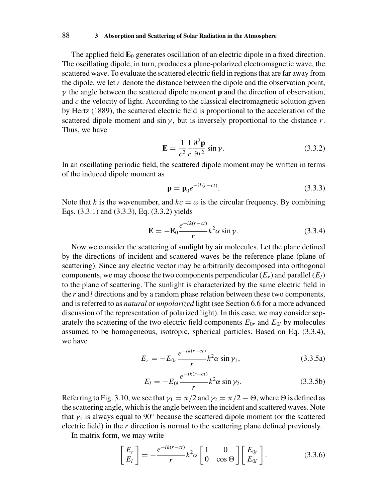The applied field  $\mathbf{E}_0$  generates oscillation of an electric dipole in a fixed direction. The oscillating dipole, in turn, produces a plane-polarized electromagnetic wave, the scattered wave. To evaluate the scattered electric field in regions that are far away from the dipole, we let *r* denote the distance between the dipole and the observation point,  $\gamma$  the angle between the scattered dipole moment **p** and the direction of observation, and *c* the velocity of light. According to the classical electromagnetic solution given by Hertz (1889), the scattered electric field is proportional to the acceleration of the scattered dipole moment and  $\sin \gamma$ , but is inversely proportional to the distance *r*. Thus, we have

$$
\mathbf{E} = \frac{1}{c^2} \frac{1}{r} \frac{\partial^2 \mathbf{p}}{\partial t^2} \sin \gamma.
$$
 (3.3.2)

In an oscillating periodic field, the scattered dipole moment may be written in terms of the induced dipole moment as

$$
\mathbf{p} = \mathbf{p}_0 e^{-ik(r-ct)}.
$$
\n(3.3.3)

Note that *k* is the wavenumber, and  $kc = \omega$  is the circular frequency. By combining Eqs. (3.3.1) and (3.3.3), Eq. (3.3.2) yields

$$
\mathbf{E} = -\mathbf{E}_0 \frac{e^{-ik(r-ct)}}{r} k^2 \alpha \sin \gamma.
$$
 (3.3.4)

Now we consider the scattering of sunlight by air molecules. Let the plane defined by the directions of incident and scattered waves be the reference plane (plane of scattering). Since any electric vector may be arbitrarily decomposed into orthogonal components, we may choose the two components perpendicular  $(E_r)$  and parallel  $(E_l)$ to the plane of scattering. The sunlight is characterized by the same electric field in the *r* and *l* directions and by a random phase relation between these two components, and is referred to as *natural* or *unpolarized* light (see Section 6.6 for a more advanced discussion of the representation of polarized light). In this case, we may consider separately the scattering of the two electric field components  $E_{0r}$  and  $E_{0l}$  by molecules assumed to be homogeneous, isotropic, spherical particles. Based on Eq. (3.3.4), we have

$$
E_r = -E_{0r} \frac{e^{-ik(r-ct)}}{r} k^2 \alpha \sin \gamma_1, \qquad (3.3.5a)
$$

$$
E_l = -E_{0l} \frac{e^{-ik(r-ct)}}{r} k^2 \alpha \sin \gamma_2.
$$
 (3.3.5b)

Referring to Fig. 3.10, we see that  $\gamma_1 = \pi/2$  and  $\gamma_2 = \pi/2 - \Theta$ , where  $\Theta$  is defined as the scattering angle, which is the angle between the incident and scattered waves. Note that  $\gamma_1$  is always equal to 90 $\degree$  because the scattered dipole moment (or the scattered electric field) in the *r* direction is normal to the scattering plane defined previously.

In matrix form, we may write

$$
\begin{bmatrix} E_r \\ E_l \end{bmatrix} = -\frac{e^{-ik(r-ct)}}{r} k^2 \alpha \begin{bmatrix} 1 & 0 \\ 0 & \cos \Theta \end{bmatrix} \begin{bmatrix} E_{0r} \\ E_{0l} \end{bmatrix}.
$$
 (3.3.6)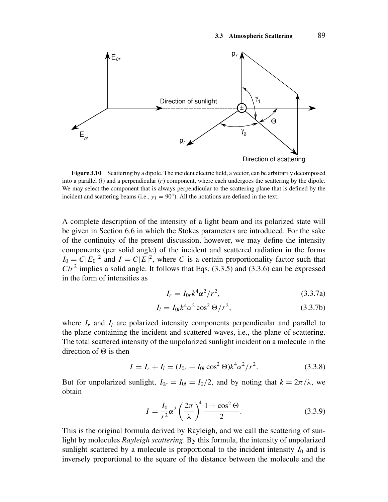

**Figure 3.10** Scattering by a dipole. The incident electric field, a vector, can be arbitrarily decomposed into a parallel (*l*) and a perpendicular (*r*) component, where each undergoes the scattering by the dipole. We may select the component that is always perpendicular to the scattering plane that is defined by the incident and scattering beams (i.e.,  $\gamma_1 = 90^\circ$ ). All the notations are defined in the text.

A complete description of the intensity of a light beam and its polarized state will be given in Section 6.6 in which the Stokes parameters are introduced. For the sake of the continuity of the present discussion, however, we may define the intensity components (per solid angle) of the incident and scattered radiation in the forms  $I_0 = C|E_0|^2$  and  $I = C|E|^2$ , where *C* is a certain proportionality factor such that  $C/r^2$  implies a solid angle. It follows that Eqs. (3.3.5) and (3.3.6) can be expressed in the form of intensities as

$$
I_r = I_{0r}k^4\alpha^2/r^2,\tag{3.3.7a}
$$

$$
I_l = I_{0l} k^4 \alpha^2 \cos^2 \Theta / r^2, \qquad (3.3.7b)
$$

where  $I_r$  and  $I_l$  are polarized intensity components perpendicular and parallel to the plane containing the incident and scattered waves, i.e., the plane of scattering. The total scattered intensity of the unpolarized sunlight incident on a molecule in the direction of  $\Theta$  is then

$$
I = I_r + I_l = (I_{0r} + I_{0l} \cos^2 \Theta)k^4 \alpha^2 / r^2.
$$
 (3.3.8)

But for unpolarized sunlight,  $I_{0r} = I_{0l} = I_0/2$ , and by noting that  $k = 2\pi/\lambda$ , we obtain

$$
I = \frac{I_0}{r^2} \alpha^2 \left(\frac{2\pi}{\lambda}\right)^4 \frac{1 + \cos^2 \Theta}{2}.
$$
 (3.3.9)

This is the original formula derived by Rayleigh, and we call the scattering of sunlight by molecules *Rayleigh scattering*. By this formula, the intensity of unpolarized sunlight scattered by a molecule is proportional to the incident intensity  $I_0$  and is inversely proportional to the square of the distance between the molecule and the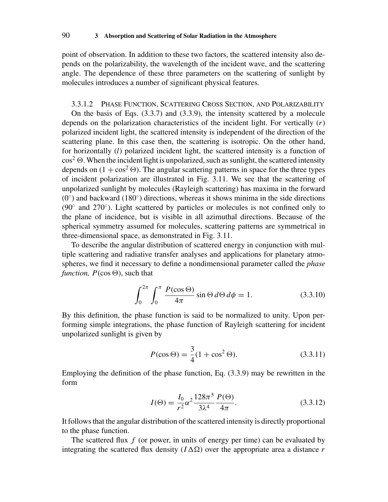point of observation. In addition to these two factors, the scattered intensity also depends on the polarizability, the wavelength of the incident wave, and the scattering angle. The dependence of these three parameters on the scattering of sunlight by molecules introduces a number of significant physical features.

3.3.1.2 PHASE FUNCTION, SCATTERING CROSS SECTION, AND POLARIZABILITY

On the basis of Eqs. (3.3.7) and (3.3.9), the intensity scattered by a molecule depends on the polarization characteristics of the incident light. For vertically (*r*) polarized incident light, the scattered intensity is independent of the direction of the scattering plane. In this case then, the scattering is isotropic. On the other hand, for horizontally (*l*) polarized incident light, the scattered intensity is a function of  $\cos^2 \Theta$ . When the incident light is unpolarized, such as sunlight, the scattered intensity depends on  $(1 + \cos^2 \Theta)$ . The angular scattering patterns in space for the three types of incident polarization are illustrated in Fig. 3.11. We see that the scattering of unpolarized sunlight by molecules (Rayleigh scattering) has maxima in the forward  $(0<sup>°</sup>)$  and backward (180<sup>°</sup>) directions, whereas it shows minima in the side directions  $(90°$  and  $270°$ ). Light scattered by particles or molecules is not confined only to the plane of incidence, but is visible in all azimuthal directions. Because of the spherical symmetry assumed for molecules, scattering patterns are symmetrical in three-dimensional space, as demonstrated in Fig. 3.11.

To describe the angular distribution of scattered energy in conjunction with multiple scattering and radiative transfer analyses and applications for planetary atmospheres, we find it necessary to define a nondimensional parameter called the *phase function,*  $P(\cos \Theta)$ , such that

$$
\int_0^{2\pi} \int_0^{\pi} \frac{P(\cos \Theta)}{4\pi} \sin \Theta \, d\Theta \, d\phi = 1. \tag{3.3.10}
$$

By this definition, the phase function is said to be normalized to unity. Upon performing simple integrations, the phase function of Rayleigh scattering for incident unpolarized sunlight is given by

$$
P(\cos \Theta) = \frac{3}{4}(1 + \cos^2 \Theta). \tag{3.3.11}
$$

Employing the definition of the phase function, Eq. (3.3.9) may be rewritten in the form

$$
I(\Theta) = \frac{I_0}{r^2} \alpha^2 \frac{128\pi^5}{3\lambda^4} \frac{P(\Theta)}{4\pi}.
$$
 (3.3.12)

It follows that the angular distribution of the scattered intensity is directly proportional to the phase function.

The scattered flux f (or power, in units of energy per time) can be evaluated by integrating the scattered flux density  $(I \Delta \Omega)$  over the appropriate area a distance *r*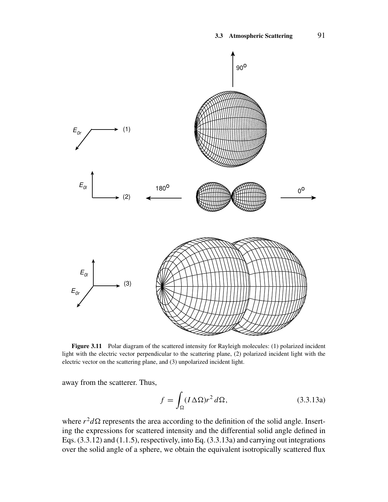

**Figure 3.11** Polar diagram of the scattered intensity for Rayleigh molecules: (1) polarized incident light with the electric vector perpendicular to the scattering plane, (2) polarized incident light with the electric vector on the scattering plane, and (3) unpolarized incident light.

away from the scatterer. Thus,

$$
f = \int_{\Omega} (I \Delta \Omega) r^2 d\Omega, \qquad (3.3.13a)
$$

where  $r^2 d\Omega$  represents the area according to the definition of the solid angle. Inserting the expressions for scattered intensity and the differential solid angle defined in Eqs. (3.3.12) and (1.1.5), respectively, into Eq. (3.3.13a) and carrying out integrations over the solid angle of a sphere, we obtain the equivalent isotropically scattered flux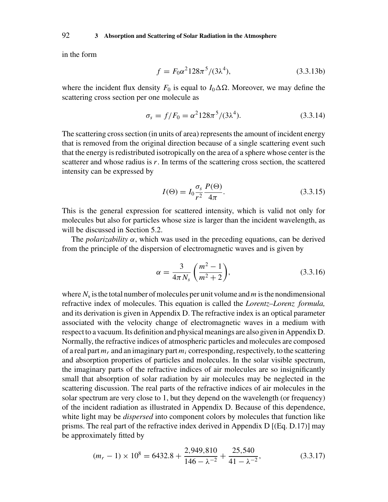in the form

$$
f = F_0 \alpha^2 128\pi^5 / (3\lambda^4), \tag{3.3.13b}
$$

where the incident flux density  $F_0$  is equal to  $I_0 \Delta \Omega$ . Moreover, we may define the scattering cross section per one molecule as

$$
\sigma_s = f/F_0 = \alpha^2 128\pi^5 / (3\lambda^4). \tag{3.3.14}
$$

The scattering cross section (in units of area) represents the amount of incident energy that is removed from the original direction because of a single scattering event such that the energy is redistributed isotropically on the area of a sphere whose center is the scatterer and whose radius is *r*. In terms of the scattering cross section, the scattered intensity can be expressed by

$$
I(\Theta) = I_0 \frac{\sigma_s}{r^2} \frac{P(\Theta)}{4\pi}.
$$
\n(3.3.15)

This is the general expression for scattered intensity, which is valid not only for molecules but also for particles whose size is larger than the incident wavelength, as will be discussed in Section 5.2.

The *polarizability*  $\alpha$ , which was used in the preceding equations, can be derived from the principle of the dispersion of electromagnetic waves and is given by

$$
\alpha = \frac{3}{4\pi N_s} \left( \frac{m^2 - 1}{m^2 + 2} \right),\tag{3.3.16}
$$

where  $N_s$  is the total number of molecules per unit volume and  $m$  is the nondimensional refractive index of molecules. This equation is called the *Lorentz–Lorenz formula,* and its derivation is given in Appendix D. The refractive index is an optical parameter associated with the velocity change of electromagnetic waves in a medium with respect to a vacuum. Its definition and physical meanings are also given in Appendix D. Normally, the refractive indices of atmospheric particles and molecules are composed of a real part *mr* and an imaginary part *mi* corresponding, respectively, to the scattering and absorption properties of particles and molecules. In the solar visible spectrum, the imaginary parts of the refractive indices of air molecules are so insignificantly small that absorption of solar radiation by air molecules may be neglected in the scattering discussion. The real parts of the refractive indices of air molecules in the solar spectrum are very close to 1, but they depend on the wavelength (or frequency) of the incident radiation as illustrated in Appendix D. Because of this dependence, white light may be *dispersed* into component colors by molecules that function like prisms. The real part of the refractive index derived in Appendix D [(Eq. D.17)] may be approximately fitted by

$$
(m_r - 1) \times 10^8 = 6432.8 + \frac{2,949,810}{146 - \lambda^{-2}} + \frac{25,540}{41 - \lambda^{-2}},
$$
\n(3.3.17)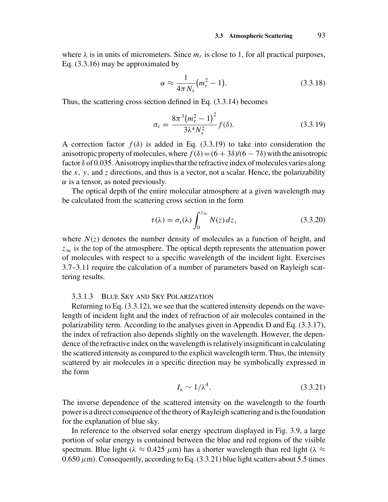where  $\lambda$  is in units of micrometers. Since  $m_r$  is close to 1, for all practical purposes, Eq. (3.3.16) may be approximated by

$$
\alpha \approx \frac{1}{4\pi N_s} \left( m_r^2 - 1 \right). \tag{3.3.18}
$$

Thus, the scattering cross section defined in Eq. (3.3.14) becomes

$$
\sigma_s = \frac{8\pi^3 (m_r^2 - 1)^2}{3\lambda^4 N_s^2} f(\delta).
$$
 (3.3.19)

A correction factor  $f(\delta)$  is added in Eq. (3.3.19) to take into consideration the anisotropic property of molecules, where  $f(\delta)=(6+3\delta)/(6-7\delta)$  with the anisotropic factor  $\delta$  of 0.035. Anisotropy implies that the refractive index of molecules varies along the  $x$ ,  $y$ , and  $z$  directions, and thus is a vector, not a scalar. Hence, the polarizability  $\alpha$  is a tensor, as noted previously.

The optical depth of the entire molecular atmosphere at a given wavelength may be calculated from the scattering cross section in the form

$$
\tau(\lambda) = \sigma_s(\lambda) \int_0^{z_{\infty}} N(z) dz,
$$
\n(3.3.20)

where  $N(z)$  denotes the number density of molecules as a function of height, and *z*<sup>∞</sup> is the top of the atmosphere. The optical depth represents the attenuation power of molecules with respect to a specific wavelength of the incident light. Exercises 3.7–3.11 require the calculation of a number of parameters based on Rayleigh scattering results.

### 3.3.1.3 BLUE SKY AND SKY POLARIZATION

Returning to Eq. (3.3.12), we see that the scattered intensity depends on the wavelength of incident light and the index of refraction of air molecules contained in the polarizability term. According to the analyses given in Appendix D and Eq. (3.3.17), the index of refraction also depends slightly on the wavelength. However, the dependence of the refractive index on the wavelength is relatively insignificant in calculating the scattered intensity as compared to the explicit wavelength term. Thus, the intensity scattered by air molecules in a specific direction may be symbolically expressed in the form

$$
I_{\lambda} \sim 1/\lambda^4. \tag{3.3.21}
$$

The inverse dependence of the scattered intensity on the wavelength to the fourth power is a direct consequence of the theory of Rayleigh scattering and is the foundation for the explanation of blue sky.

In reference to the observed solar energy spectrum displayed in Fig. 3.9, a large portion of solar energy is contained between the blue and red regions of the visible spectrum. Blue light ( $\lambda \approx 0.425 \ \mu \text{m}$ ) has a shorter wavelength than red light ( $\lambda \approx$  $0.650 \,\mu$ m). Consequently, according to Eq.  $(3.3.21)$  blue light scatters about 5.5 times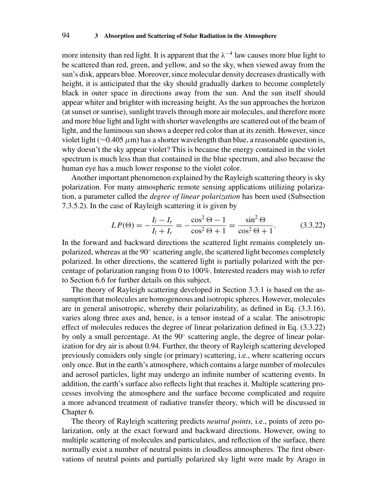more intensity than red light. It is apparent that the  $\lambda^{-4}$  law causes more blue light to be scattered than red, green, and yellow, and so the sky, when viewed away from the sun's disk, appears blue. Moreover, since molecular density decreases drastically with height, it is anticipated that the sky should gradually darken to become completely black in outer space in directions away from the sun. And the sun itself should appear whiter and brighter with increasing height. As the sun approaches the horizon (at sunset or sunrise), sunlight travels through more air molecules, and therefore more and more blue light and light with shorter wavelengths are scattered out of the beam of light, and the luminous sun shows a deeper red color than at its zenith. However, since violet light (∼0.405 *µ*m) has a shorter wavelength than blue, a reasonable question is, why doesn't the sky appear violet? This is because the energy contained in the violet spectrum is much less than that contained in the blue spectrum, and also because the human eye has a much lower response to the violet color.

Another important phenomenon explained by the Rayleigh scattering theory is sky polarization. For many atmospheric remote sensing applications utilizing polarization, a parameter called the *degree of linear polarization* has been used (Subsection 7.3.5.2). In the case of Rayleigh scattering it is given by

$$
LP(\Theta) = -\frac{I_l - I_r}{I_l + I_r} = -\frac{\cos^2 \Theta - 1}{\cos^2 \Theta + 1} = \frac{\sin^2 \Theta}{\cos^2 \Theta + 1}.
$$
 (3.3.22)

In the forward and backward directions the scattered light remains completely unpolarized, whereas at the 90° scattering angle, the scattered light becomes completely polarized. In other directions, the scattered light is partially polarized with the percentage of polarization ranging from 0 to 100%. Interested readers may wish to refer to Section 6.6 for further details on this subject.

The theory of Rayleigh scattering developed in Section 3.3.1 is based on the assumption that molecules are homogeneous and isotropic spheres. However, molecules are in general anisotropic, whereby their polarizability, as defined in Eq. (3.3.16), varies along three axes and, hence, is a tensor instead of a scalar. The anisotropic effect of molecules reduces the degree of linear polarization defined in Eq. (3.3.22) by only a small percentage. At the 90◦ scattering angle, the degree of linear polarization for dry air is about 0.94. Further, the theory of Rayleigh scattering developed previously considers only single (or primary) scattering, i.e., where scattering occurs only once. But in the earth's atmosphere, which contains a large number of molecules and aerosol particles, light may undergo an infinite number of scattering events. In addition, the earth's surface also reflects light that reaches it. Multiple scattering processes involving the atmosphere and the surface become complicated and require a more advanced treatment of radiative transfer theory, which will be discussed in Chapter 6.

The theory of Rayleigh scattering predicts *neutral points,* i.e., points of zero polarization, only at the exact forward and backward directions. However, owing to multiple scattering of molecules and particulates, and reflection of the surface, there normally exist a number of neutral points in cloudless atmospheres. The first observations of neutral points and partially polarized sky light were made by Arago in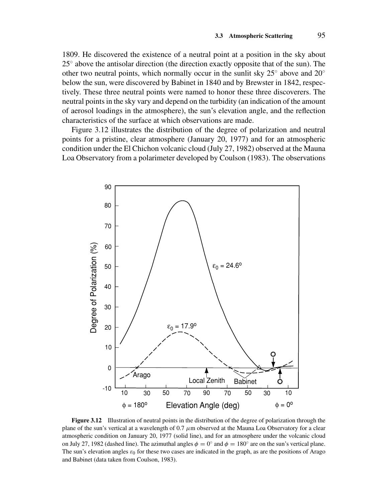1809. He discovered the existence of a neutral point at a position in the sky about  $25^\circ$  above the antisolar direction (the direction exactly opposite that of the sun). The other two neutral points, which normally occur in the sunlit sky 25◦ above and 20◦ below the sun, were discovered by Babinet in 1840 and by Brewster in 1842, respectively. These three neutral points were named to honor these three discoverers. The neutral points in the sky vary and depend on the turbidity (an indication of the amount of aerosol loadings in the atmosphere), the sun's elevation angle, and the reflection characteristics of the surface at which observations are made.

Figure 3.12 illustrates the distribution of the degree of polarization and neutral points for a pristine, clear atmosphere (January 20, 1977) and for an atmospheric condition under the El Chichon volcanic cloud (July 27, 1982) observed at the Mauna Loa Observatory from a polarimeter developed by Coulson (1983). The observations



**Figure 3.12** Illustration of neutral points in the distribution of the degree of polarization through the plane of the sun's vertical at a wavelength of  $0.7 \mu m$  observed at the Mauna Loa Observatory for a clear atmospheric condition on January 20, 1977 (solid line), and for an atmosphere under the volcanic cloud on July 27, 1982 (dashed line). The azimuthal angles  $\phi = 0^\circ$  and  $\phi = 180^\circ$  are on the sun's vertical plane. The sun's elevation angles  $\varepsilon_0$  for these two cases are indicated in the graph, as are the positions of Arago and Babinet (data taken from Coulson, 1983).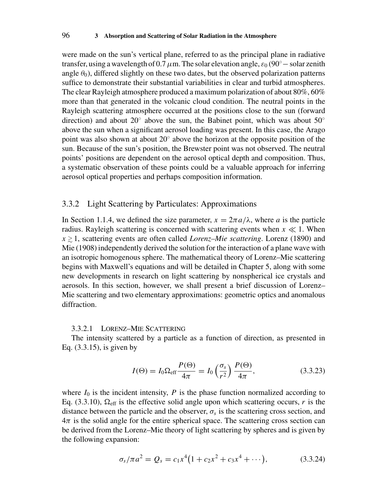were made on the sun's vertical plane, referred to as the principal plane in radiative transfer, using a wavelength of 0.7  $\mu$ m. The solar elevation angle,  $\varepsilon_0$  (90° – solar zenith angle  $\theta_0$ ), differed slightly on these two dates, but the observed polarization patterns suffice to demonstrate their substantial variabilities in clear and turbid atmospheres. The clear Rayleigh atmosphere produced a maximum polarization of about 80%, 60% more than that generated in the volcanic cloud condition. The neutral points in the Rayleigh scattering atmosphere occurred at the positions close to the sun (forward direction) and about 20 $\degree$  above the sun, the Babinet point, which was about 50 $\degree$ above the sun when a significant aerosol loading was present. In this case, the Arago point was also shown at about 20◦ above the horizon at the opposite position of the sun. Because of the sun's position, the Brewster point was not observed. The neutral points' positions are dependent on the aerosol optical depth and composition. Thus, a systematic observation of these points could be a valuable approach for inferring aerosol optical properties and perhaps composition information.

### 3.3.2 Light Scattering by Particulates: Approximations

In Section 1.1.4, we defined the size parameter,  $x = 2\pi a/\lambda$ , where *a* is the particle radius. Rayleigh scattering is concerned with scattering events when  $x \ll 1$ . When  $x \ge 1$ , scattering events are often called *Lorenz–Mie scattering*. Lorenz (1890) and Mie (1908) independently derived the solution for the interaction of a plane wave with an isotropic homogenous sphere. The mathematical theory of Lorenz–Mie scattering begins with Maxwell's equations and will be detailed in Chapter 5, along with some new developments in research on light scattering by nonspherical ice crystals and aerosols. In this section, however, we shall present a brief discussion of Lorenz– Mie scattering and two elementary approximations: geometric optics and anomalous diffraction.

### 3.3.2.1 LORENZ–MIE SCATTERING

The intensity scattered by a particle as a function of direction, as presented in Eq. (3.3.15), is given by

$$
I(\Theta) = I_0 \Omega_{\text{eff}} \frac{P(\Theta)}{4\pi} = I_0 \left(\frac{\sigma_s}{r^2}\right) \frac{P(\Theta)}{4\pi},\tag{3.3.23}
$$

where  $I_0$  is the incident intensity,  $P$  is the phase function normalized according to Eq. (3.3.10),  $\Omega_{\text{eff}}$  is the effective solid angle upon which scattering occurs, *r* is the distance between the particle and the observer,  $\sigma_s$  is the scattering cross section, and  $4\pi$  is the solid angle for the entire spherical space. The scattering cross section can be derived from the Lorenz–Mie theory of light scattering by spheres and is given by the following expansion:

$$
\sigma_s/\pi a^2 = Q_s = c_1 x^4 (1 + c_2 x^2 + c_3 x^4 + \cdots), \qquad (3.3.24)
$$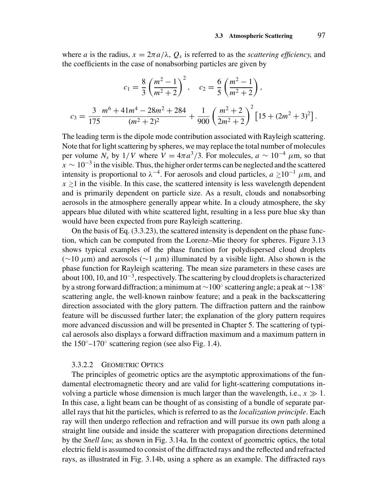where *a* is the radius,  $x = 2\pi a/\lambda$ ,  $Q_s$  is referred to as the *scattering efficiency*, and the coefficients in the case of nonabsorbing particles are given by

$$
c_1 = \frac{8}{3} \left( \frac{m^2 - 1}{m^2 + 2} \right)^2, \quad c_2 = \frac{6}{5} \left( \frac{m^2 - 1}{m^2 + 2} \right),
$$
  

$$
c_3 = \frac{3}{175} \frac{m^6 + 41m^4 - 28m^2 + 284}{(m^2 + 2)^2} + \frac{1}{900} \left( \frac{m^2 + 2}{2m^2 + 2} \right)^2 \left[ 15 + (2m^2 + 3)^2 \right].
$$

The leading term is the dipole mode contribution associated with Rayleigh scattering. Note that for light scattering by spheres, we may replace the total number of molecules per volume  $N_s$  by 1/*V* where  $V = 4\pi a^3/3$ . For molecules,  $a \sim 10^{-4} \mu$ m, so that  $x \sim 10^{-3}$  in the visible. Thus, the higher order terms can be neglected and the scattered intensity is proportional to  $\lambda^{-4}$ . For aerosols and cloud particles,  $a \ge 10^{-1} \mu$ m, and  $x \ge 1$  in the visible. In this case, the scattered intensity is less wavelength dependent and is primarily dependent on particle size. As a result, clouds and nonabsorbing aerosols in the atmosphere generally appear white. In a cloudy atmosphere, the sky appears blue diluted with white scattered light, resulting in a less pure blue sky than would have been expected from pure Rayleigh scattering.

On the basis of Eq. (3.3.23), the scattered intensity is dependent on the phase function, which can be computed from the Lorenz–Mie theory for spheres. Figure 3.13 shows typical examples of the phase function for polydispersed cloud droplets (∼10 *µ*m) and aerosols (∼1 *µ*m) illuminated by a visible light. Also shown is the phase function for Rayleigh scattering. The mean size parameters in these cases are about 100, 10, and  $10^{-3}$ , respectively. The scattering by cloud droplets is characterized by a strong forward diffraction; a minimum at ∼100◦ scattering angle; a peak at ∼138◦ scattering angle, the well-known rainbow feature; and a peak in the backscattering direction associated with the glory pattern. The diffraction pattern and the rainbow feature will be discussed further later; the explanation of the glory pattern requires more advanced discussion and will be presented in Chapter 5. The scattering of typical aerosols also displays a forward diffraction maximum and a maximum pattern in the  $150^{\circ}$ –170 $^{\circ}$  scattering region (see also Fig. 1.4).

#### 3.3.2.2 GEOMETRIC OPTICS

The principles of geometric optics are the asymptotic approximations of the fundamental electromagnetic theory and are valid for light-scattering computations involving a particle whose dimension is much larger than the wavelength, i.e.,  $x \gg 1$ . In this case, a light beam can be thought of as consisting of a bundle of separate parallel rays that hit the particles, which is referred to as the *localization principle*. Each ray will then undergo reflection and refraction and will pursue its own path along a straight line outside and inside the scatterer with propagation directions determined by the *Snell law,* as shown in Fig. 3.14a. In the context of geometric optics, the total electric field is assumed to consist of the diffracted rays and the reflected and refracted rays, as illustrated in Fig. 3.14b, using a sphere as an example. The diffracted rays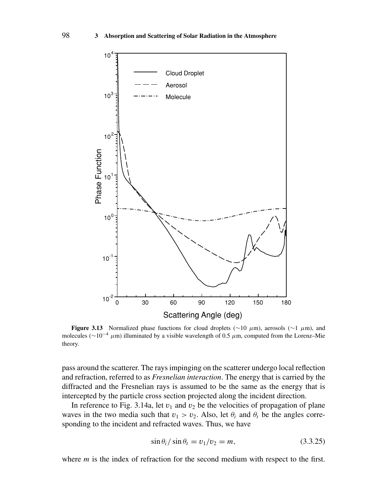

**Figure 3.13** Normalized phase functions for cloud droplets ( $\sim$ 10  $\mu$ m), aerosols ( $\sim$ 1  $\mu$ m), and molecules (∼10−<sup>4</sup> *<sup>µ</sup>*m) illuminated by a visible wavelength of 0.5 *<sup>µ</sup>*m, computed from the Lorenz–Mie theory.

pass around the scatterer. The rays impinging on the scatterer undergo local reflection and refraction, referred to as *Fresnelian interaction*. The energy that is carried by the diffracted and the Fresnelian rays is assumed to be the same as the energy that is intercepted by the particle cross section projected along the incident direction.

In reference to Fig. 3.14a, let  $v_1$  and  $v_2$  be the velocities of propagation of plane waves in the two media such that  $v_1 > v_2$ . Also, let  $\theta_i$  and  $\theta_t$  be the angles corresponding to the incident and refracted waves. Thus, we have

$$
\sin \theta_i / \sin \theta_t = v_1 / v_2 = m, \qquad (3.3.25)
$$

where *m* is the index of refraction for the second medium with respect to the first.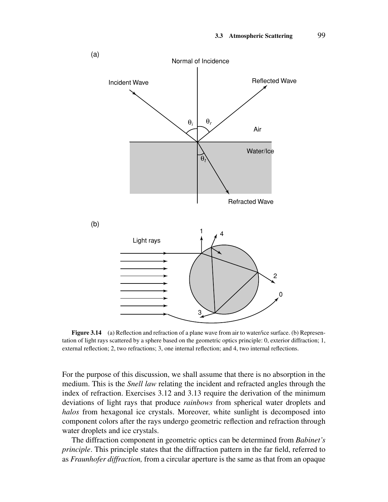

**Figure 3.14** (a) Reflection and refraction of a plane wave from air to water/ice surface. (b) Representation of light rays scattered by a sphere based on the geometric optics principle: 0, exterior diffraction; 1, external reflection; 2, two refractions; 3, one internal reflection; and 4, two internal reflections.

For the purpose of this discussion, we shall assume that there is no absorption in the medium. This is the *Snell law* relating the incident and refracted angles through the index of refraction. Exercises 3.12 and 3.13 require the derivation of the minimum deviations of light rays that produce *rainbows* from spherical water droplets and *halos* from hexagonal ice crystals. Moreover, white sunlight is decomposed into component colors after the rays undergo geometric reflection and refraction through water droplets and ice crystals.

The diffraction component in geometric optics can be determined from *Babinet's principle*. This principle states that the diffraction pattern in the far field, referred to as *Fraunhofer diffraction,* from a circular aperture is the same as that from an opaque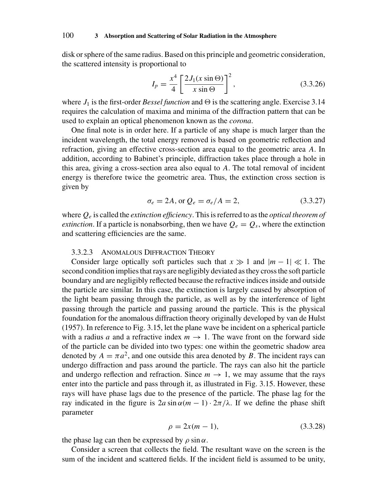disk or sphere of the same radius. Based on this principle and geometric consideration, the scattered intensity is proportional to

$$
I_p = \frac{x^4}{4} \left[ \frac{2J_1(x\sin\Theta)}{x\sin\Theta} \right]^2,
$$
 (3.3.26)

where  $J_1$  is the first-order *Bessel function* and  $\Theta$  is the scattering angle. Exercise 3.14 requires the calculation of maxima and minima of the diffraction pattern that can be used to explain an optical phenomenon known as the *corona*.

One final note is in order here. If a particle of any shape is much larger than the incident wavelength, the total energy removed is based on geometric reflection and refraction, giving an effective cross-section area equal to the geometric area *A*. In addition, according to Babinet's principle, diffraction takes place through a hole in this area, giving a cross-section area also equal to *A*. The total removal of incident energy is therefore twice the geometric area. Thus, the extinction cross section is given by

$$
\sigma_e = 2A, \text{ or } Q_e = \sigma_e/A = 2,
$$
\n(3.3.27)

where *Qe* is called the *extinction efficiency*. This is referred to as the *optical theorem of extinction*. If a particle is nonabsorbing, then we have  $Q_e = Q_s$ , where the extinction and scattering efficiencies are the same.

### 3.3.2.3 ANOMALOUS DIFFRACTION THEORY

Consider large optically soft particles such that  $x \gg 1$  and  $|m-1| \ll 1$ . The second condition implies that rays are negligibly deviated as they cross the soft particle boundary and are negligibly reflected because the refractive indices inside and outside the particle are similar. In this case, the extinction is largely caused by absorption of the light beam passing through the particle, as well as by the interference of light passing through the particle and passing around the particle. This is the physical foundation for the anomalous diffraction theory originally developed by van de Hulst (1957). In reference to Fig. 3.15, let the plane wave be incident on a spherical particle with a radius *a* and a refractive index  $m \to 1$ . The wave front on the forward side of the particle can be divided into two types: one within the geometric shadow area denoted by  $A = \pi a^2$ , and one outside this area denoted by *B*. The incident rays can undergo diffraction and pass around the particle. The rays can also hit the particle and undergo reflection and refraction. Since  $m \to 1$ , we may assume that the rays enter into the particle and pass through it, as illustrated in Fig. 3.15. However, these rays will have phase lags due to the presence of the particle. The phase lag for the ray indicated in the figure is  $2a sin α(m - 1) \cdot 2π/λ$ . If we define the phase shift parameter

$$
\rho = 2x(m - 1),\tag{3.3.28}
$$

the phase lag can then be expressed by  $\rho \sin \alpha$ .

Consider a screen that collects the field. The resultant wave on the screen is the sum of the incident and scattered fields. If the incident field is assumed to be unity,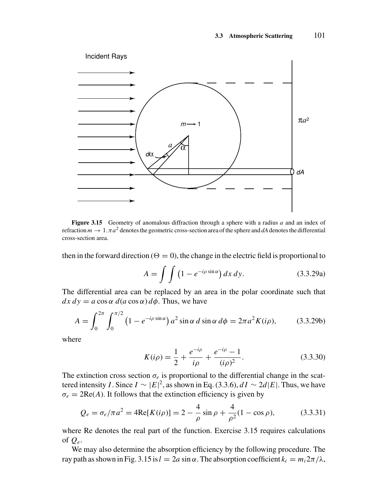

**Figure 3.15** Geometry of anomalous diffraction through a sphere with a radius *a* and an index of refraction  $m \to 1$ .  $\pi a^2$  denotes the geometric cross-section area of the sphere and *dA* denotes the differential cross-section area.

then in the forward direction ( $\Theta = 0$ ), the change in the electric field is proportional to

$$
A = \int \int \left(1 - e^{-i\rho \sin \alpha} \right) dx \, dy. \tag{3.3.29a}
$$

The differential area can be replaced by an area in the polar coordinate such that  $dx dy = a \cos \alpha d(a \cos \alpha) d\phi$ . Thus, we have

$$
A = \int_0^{2\pi} \int_0^{\pi/2} (1 - e^{-i\rho \sin \alpha}) a^2 \sin \alpha \, d \sin \alpha \, d\phi = 2\pi a^2 K(i\rho), \tag{3.3.29b}
$$

where

$$
K(i\rho) = \frac{1}{2} + \frac{e^{-i\rho}}{i\rho} + \frac{e^{-i\rho} - 1}{(i\rho)^2}.
$$
 (3.3.30)

The extinction cross section  $\sigma_e$  is proportional to the differential change in the scattered intensity *I*. Since  $I \sim |E|^2$ , as shown in Eq. (3.3.6),  $dI \sim 2d|E|$ . Thus, we have  $\sigma_e = 2\text{Re}(A)$ . It follows that the extinction efficiency is given by

$$
Q_e = \sigma_e / \pi a^2 = 4\text{Re}[K(i\rho)] = 2 - \frac{4}{\rho}\sin \rho + \frac{4}{\rho^2}(1 - \cos \rho),\tag{3.3.31}
$$

where Re denotes the real part of the function. Exercise 3.15 requires calculations of *Qe*.

We may also determine the absorption efficiency by the following procedure. The ray path as shown in Fig. 3.15 is  $l = 2a \sin \alpha$ . The absorption coefficient  $k_i = m_i 2\pi/\lambda$ ,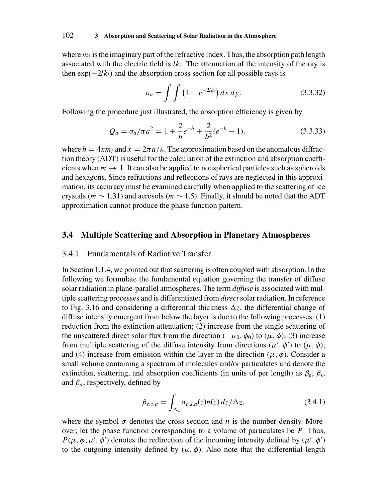where  $m_i$  is the imaginary part of the refractive index. Thus, the absorption path length associated with the electric field is  $lk_i$ . The attenuation of the intensity of the ray is then  $exp(-2lk_i)$  and the absorption cross section for all possible rays is

$$
\sigma_a = \int \int \left(1 - e^{-2lk_i}\right) dx \, dy. \tag{3.3.32}
$$

Following the procedure just illustrated, the absorption efficiency is given by

$$
Q_a = \sigma_a / \pi a^2 = 1 + \frac{2}{b} e^{-b} + \frac{2}{b^2} (e^{-b} - 1),
$$
 (3.3.33)

where  $b = 4xm_i$  and  $x = 2\pi a/\lambda$ . The approximation based on the anomalous diffraction theory (ADT) is useful for the calculation of the extinction and absorption coefficients when  $m \to 1$ . It can also be applied to nonspherical particles such as spheroids and hexagons. Since refractions and reflections of rays are neglected in this approximation, its accuracy must be examined carefully when applied to the scattering of ice crystals ( $m \sim 1.31$ ) and aerosols ( $m \sim 1.5$ ). Finally, it should be noted that the ADT approximation cannot produce the phase function pattern.

# **3.4 Multiple Scattering and Absorption in Planetary Atmospheres**

## 3.4.1 Fundamentals of Radiative Transfer

In Section 1.1.4, we pointed out that scattering is often coupled with absorption. In the following we formulate the fundamental equation governing the transfer of diffuse solar radiation in plane-parallel atmospheres. The term *diffuse* is associated with multiple scattering processes and is differentiated from *direct*solar radiation. In reference to Fig. 3.16 and considering a differential thickness  $\Delta z$ , the differential change of diffuse intensity emergent from below the layer is due to the following processes: (1) reduction from the extinction attenuation; (2) increase from the single scattering of the unscattered direct solar flux from the direction ( $-\mu_0$ ,  $\phi_0$ ) to ( $\mu$ ,  $\phi$ ); (3) increase from multiple scattering of the diffuse intensity from directions  $(\mu', \phi')$  to  $(\mu, \phi)$ ; and (4) increase from emission within the layer in the direction  $(\mu, \phi)$ . Consider a small volume containing a spectrum of molecules and/or particulates and denote the extinction, scattering, and absorption coefficients (in units of per length) as  $\beta_e$ ,  $\beta_s$ , and  $\beta_a$ , respectively, defined by

$$
\beta_{e,s,a} = \int_{\Delta z} \sigma_{e,s,a}(z) n(z) \, dz / \Delta z,\tag{3.4.1}
$$

where the symbol  $\sigma$  denotes the cross section and *n* is the number density. Moreover, let the phase function corresponding to a volume of particulates be *P*. Thus, *P*( $\mu$ ,  $\phi$ ;  $\mu'$ ,  $\phi'$ ) denotes the redirection of the incoming intensity defined by ( $\mu'$ ,  $\phi'$ ) to the outgoing intensity defined by  $(\mu, \phi)$ . Also note that the differential length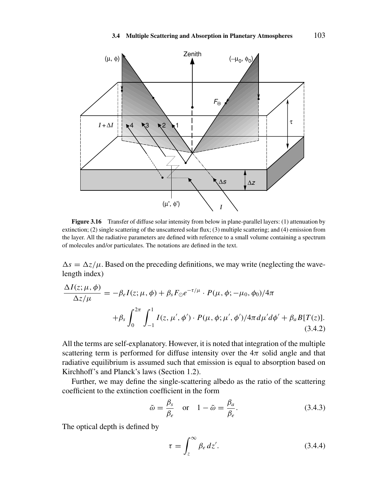

**Figure 3.16** Transfer of diffuse solar intensity from below in plane-parallel layers: (1) attenuation by extinction; (2) single scattering of the unscattered solar flux; (3) multiple scattering; and (4) emission from the layer. All the radiative parameters are defined with reference to a small volume containing a spectrum of molecules and/or particulates. The notations are defined in the text.

 $\Delta s = \Delta z/\mu$ . Based on the preceding definitions, we may write (neglecting the wavelength index)

$$
\frac{\Delta I(z; \mu, \phi)}{\Delta z / \mu} = -\beta_e I(z; \mu, \phi) + \beta_s F_{\odot} e^{-\tau/\mu} \cdot P(\mu, \phi; -\mu_0, \phi_0) / 4\pi \n+ \beta_s \int_0^{2\pi} \int_{-1}^1 I(z, \mu', \phi') \cdot P(\mu, \phi; \mu', \phi') / 4\pi d\mu' d\phi' + \beta_a B[T(z)].
$$
\n(3.4.2)

All the terms are self-explanatory. However, it is noted that integration of the multiple scattering term is performed for diffuse intensity over the  $4\pi$  solid angle and that radiative equilibrium is assumed such that emission is equal to absorption based on Kirchhoff's and Planck's laws (Section 1.2).

Further, we may define the single-scattering albedo as the ratio of the scattering coefficient to the extinction coefficient in the form

$$
\tilde{\omega} = \frac{\beta_s}{\beta_e} \quad \text{or} \quad 1 - \tilde{\omega} = \frac{\beta_a}{\beta_e}.\tag{3.4.3}
$$

The optical depth is defined by

$$
\tau = \int_{z}^{\infty} \beta_e \, dz'.
$$
\n(3.4.4)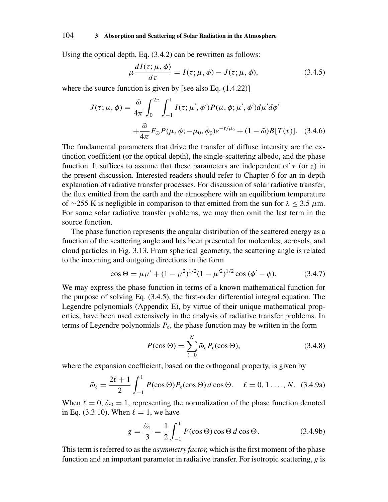Using the optical depth, Eq. (3.4.2) can be rewritten as follows:

$$
\mu \frac{dI(\tau; \mu, \phi)}{d\tau} = I(\tau; \mu, \phi) - J(\tau; \mu, \phi), \tag{3.4.5}
$$

where the source function is given by [see also Eq.  $(1.4.22)$ ]

$$
J(\tau; \mu, \phi) = \frac{\tilde{\omega}}{4\pi} \int_0^{2\pi} \int_{-1}^1 I(\tau; \mu', \phi') P(\mu, \phi; \mu', \phi') d\mu' d\phi'
$$
  
+ 
$$
\frac{\tilde{\omega}}{4\pi} F_{\odot} P(\mu, \phi; -\mu_0, \phi_0) e^{-\tau/\mu_0} + (1 - \tilde{\omega}) B[T(\tau)]. \quad (3.4.6)
$$

The fundamental parameters that drive the transfer of diffuse intensity are the extinction coefficient (or the optical depth), the single-scattering albedo, and the phase function. It suffices to assume that these parameters are independent of  $\tau$  (or  $\zeta$ ) in the present discussion. Interested readers should refer to Chapter 6 for an in-depth explanation of radiative transfer processes. For discussion of solar radiative transfer, the flux emitted from the earth and the atmosphere with an equilibrium temperature of ∼255 K is negligible in comparison to that emitted from the sun for λ ≤ 3.5 *µ*m. For some solar radiative transfer problems, we may then omit the last term in the source function.

The phase function represents the angular distribution of the scattered energy as a function of the scattering angle and has been presented for molecules, aerosols, and cloud particles in Fig. 3.13. From spherical geometry, the scattering angle is related to the incoming and outgoing directions in the form

$$
\cos \Theta = \mu \mu' + (1 - \mu^2)^{1/2} (1 - \mu'^2)^{1/2} \cos (\phi' - \phi). \tag{3.4.7}
$$

We may express the phase function in terms of a known mathematical function for the purpose of solving Eq. (3.4.5), the first-order differential integral equation. The Legendre polynomials (Appendix E), by virtue of their unique mathematical properties, have been used extensively in the analysis of radiative transfer problems. In terms of Legendre polynomials  $P_{\ell}$ , the phase function may be written in the form

$$
P(\cos \Theta) = \sum_{\ell=0}^{N} \tilde{\omega}_{\ell} P_{\ell}(\cos \Theta), \qquad (3.4.8)
$$

where the expansion coefficient, based on the orthogonal property, is given by

$$
\tilde{\omega}_{\ell} = \frac{2\ell+1}{2} \int_{-1}^{1} P(\cos \Theta) P_{\ell}(\cos \Theta) d\cos \Theta, \quad \ell = 0, 1, \ldots, N. \quad (3.4.9a)
$$

When  $\ell = 0$ ,  $\tilde{\omega}_0 = 1$ , representing the normalization of the phase function denoted in Eq. (3.3.10). When  $\ell = 1$ , we have

$$
g = \frac{\tilde{\omega}_1}{3} = \frac{1}{2} \int_{-1}^{1} P(\cos \Theta) \cos \Theta d \cos \Theta.
$$
 (3.4.9b)

This term is referred to as the *asymmetry factor,* which is the first moment of the phase function and an important parameter in radiative transfer. For isotropic scattering, *g* is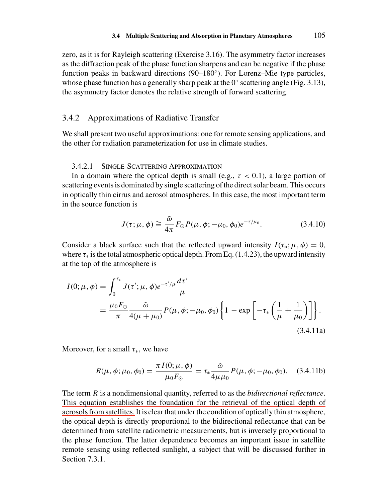zero, as it is for Rayleigh scattering (Exercise 3.16). The asymmetry factor increases as the diffraction peak of the phase function sharpens and can be negative if the phase function peaks in backward directions (90–180°). For Lorenz–Mie type particles, whose phase function has a generally sharp peak at the  $0°$  scattering angle (Fig. 3.13), the asymmetry factor denotes the relative strength of forward scattering.

# 3.4.2 Approximations of Radiative Transfer

We shall present two useful approximations: one for remote sensing applications, and the other for radiation parameterization for use in climate studies.

### 3.4.2.1 SINGLE-SCATTERING APPROXIMATION

In a domain where the optical depth is small (e.g.,  $\tau < 0.1$ ), a large portion of scattering events is dominated by single scattering of the direct solar beam. This occurs in optically thin cirrus and aerosol atmospheres. In this case, the most important term in the source function is

$$
J(\tau; \mu, \phi) \cong \frac{\tilde{\omega}}{4\pi} F_{\odot} P(\mu, \phi; -\mu_0, \phi_0) e^{-\tau/\mu_0}.
$$
 (3.4.10)

Consider a black surface such that the reflected upward intensity  $I(\tau_*, \mu, \phi) = 0$ , where  $\tau_*$  is the total atmospheric optical depth. From Eq. (1.4.23), the upward intensity at the top of the atmosphere is

$$
I(0; \mu, \phi) = \int_0^{\tau_*} J(\tau'; \mu, \phi) e^{-\tau'/\mu} \frac{d\tau'}{\mu}
$$
  
=  $\frac{\mu_0 F_\odot}{\pi} \frac{\tilde{\omega}}{4(\mu + \mu_0)} P(\mu, \phi; -\mu_0, \phi_0) \left\{ 1 - \exp \left[ -\tau_* \left( \frac{1}{\mu} + \frac{1}{\mu_0} \right) \right] \right\}.$  (3.4.11a)

Moreover, for a small  $\tau_*$ , we have

$$
R(\mu, \phi; \mu_0, \phi_0) = \frac{\pi I(0; \mu, \phi)}{\mu_0 F_{\odot}} = \tau_* \frac{\tilde{\omega}}{4\mu \mu_0} P(\mu, \phi; -\mu_0, \phi_0). \quad (3.4.11b)
$$

The term *R* is a nondimensional quantity, referred to as the *bidirectional reflectance*. This equation establishes the foundation for the retrieval of the optical depth of aerosols from satellites. It is clear that under the condition of optically thin atmosphere, the optical depth is directly proportional to the bidirectional reflectance that can be determined from satellite radiometric measurements, but is inversely proportional to the phase function. The latter dependence becomes an important issue in satellite remote sensing using reflected sunlight, a subject that will be discussed further in Section 7.3.1.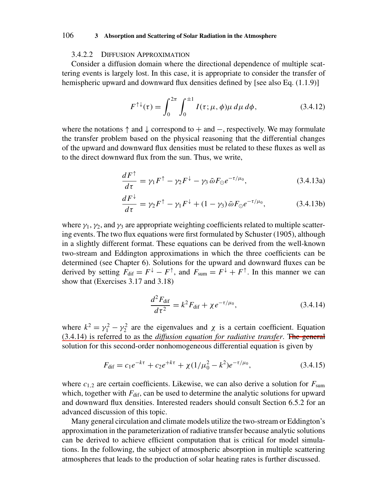#### 3.4.2.2 DIFFUSION APPROXIMATION

Consider a diffusion domain where the directional dependence of multiple scattering events is largely lost. In this case, it is appropriate to consider the transfer of hemispheric upward and downward flux densities defined by [see also Eq. (1.1.9)]

$$
F^{\uparrow\downarrow}(\tau) = \int_0^{2\pi} \int_0^{\pm 1} I(\tau; \mu, \phi) \mu \, d\mu \, d\phi, \tag{3.4.12}
$$

where the notations  $\uparrow$  and  $\downarrow$  correspond to  $+$  and  $-$ , respectively. We may formulate the transfer problem based on the physical reasoning that the differential changes of the upward and downward flux densities must be related to these fluxes as well as to the direct downward flux from the sun. Thus, we write,

$$
\frac{dF^{\uparrow}}{d\tau} = \gamma_1 F^{\uparrow} - \gamma_2 F^{\downarrow} - \gamma_3 \,\tilde{\omega} F_{\odot} e^{-\tau/\mu_0},\tag{3.4.13a}
$$

$$
\frac{dF^{\downarrow}}{d\tau} = \gamma_2 F^{\uparrow} - \gamma_1 F^{\downarrow} + (1 - \gamma_3) \tilde{\omega} F_{\odot} e^{-\tau/\mu_0}, \qquad (3.4.13b)
$$

where  $\gamma_1$ ,  $\gamma_2$ , and  $\gamma_3$  are appropriate weighting coefficients related to multiple scattering events. The two flux equations were first formulated by Schuster (1905), although in a slightly different format. These equations can be derived from the well-known two-stream and Eddington approximations in which the three coefficients can be determined (see Chapter 6). Solutions for the upward and downward fluxes can be derived by setting  $F_{\text{dif}} = F^{\downarrow} - F^{\uparrow}$ , and  $F_{\text{sum}} = F^{\downarrow} + F^{\uparrow}$ . In this manner we can show that (Exercises 3.17 and 3.18)

$$
\frac{d^2 F_{\text{dif}}}{d\tau^2} = k^2 F_{\text{dif}} + \chi e^{-\tau/\mu_0},\tag{3.4.14}
$$

where  $k^2 = \gamma_1^2 - \gamma_2^2$  are the eigenvalues and  $\chi$  is a certain coefficient. Equation (3.4.14) is referred to as the *diffusion equation for radiative transfer*. The general solution for this second-order nonhomogeneous differential equation is given by

$$
F_{\text{dif}} = c_1 e^{-k\tau} + c_2 e^{+k\tau} + \chi (1/\mu_0^2 - k^2) e^{-\tau/\mu_0},\tag{3.4.15}
$$

where  $c_{1,2}$  are certain coefficients. Likewise, we can also derive a solution for  $F_{\text{sum}}$ which, together with  $F_{\text{dif}}$ , can be used to determine the analytic solutions for upward and downward flux densities. Interested readers should consult Section 6.5.2 for an advanced discussion of this topic.

Many general circulation and climate models utilize the two-stream or Eddington's approximation in the parameterization of radiative transfer because analytic solutions can be derived to achieve efficient computation that is critical for model simulations. In the following, the subject of atmospheric absorption in multiple scattering atmospheres that leads to the production of solar heating rates is further discussed.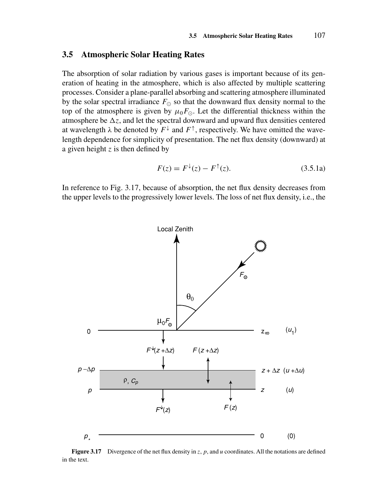### **3.5 Atmospheric Solar Heating Rates**

The absorption of solar radiation by various gases is important because of its generation of heating in the atmosphere, which is also affected by multiple scattering processes. Consider a plane-parallel absorbing and scattering atmosphere illuminated by the solar spectral irradiance  $F_{\odot}$  so that the downward flux density normal to the top of the atmosphere is given by  $\mu_0 F_{\odot}$ . Let the differential thickness within the atmosphere be  $\Delta z$ , and let the spectral downward and upward flux densities centered at wavelength  $\lambda$  be denoted by  $F^{\downarrow}$  and  $F^{\uparrow}$ , respectively. We have omitted the wavelength dependence for simplicity of presentation. The net flux density (downward) at a given height *z* is then defined by

$$
F(z) = F^{\downarrow}(z) - F^{\uparrow}(z). \tag{3.5.1a}
$$

In reference to Fig. 3.17, because of absorption, the net flux density decreases from the upper levels to the progressively lower levels. The loss of net flux density, i.e., the



**Figure 3.17** Divergence of the net flux density in *z*, *p*, and *u* coordinates. All the notations are defined in the text.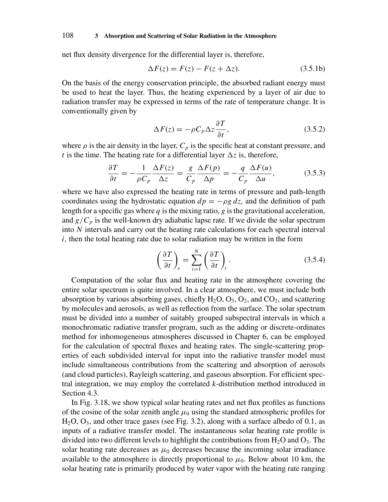net flux density divergence for the differential layer is, therefore,

$$
\Delta F(z) = F(z) - F(z + \Delta z). \tag{3.5.1b}
$$

On the basis of the energy conservation principle, the absorbed radiant energy must be used to heat the layer. Thus, the heating experienced by a layer of air due to radiation transfer may be expressed in terms of the rate of temperature change. It is conventionally given by

$$
\Delta F(z) = -\rho C_p \Delta z \frac{\partial T}{\partial t},\qquad(3.5.2)
$$

where  $\rho$  is the air density in the layer,  $C_p$  is the specific heat at constant pressure, and *t* is the time. The heating rate for a differential layer  $\Delta z$  is, therefore,

$$
\frac{\partial T}{\partial t} = -\frac{1}{\rho C_p} \frac{\Delta F(z)}{\Delta z} = \frac{g}{C_p} \frac{\Delta F(p)}{\Delta p} = -\frac{q}{C_p} \frac{\Delta F(u)}{\Delta u},\tag{3.5.3}
$$

where we have also expressed the heating rate in terms of pressure and path-length coordinates using the hydrostatic equation  $dp = -\rho g dz$ , and the definition of path length for a specific gas where  $q$  is the mixing ratio,  $g$  is the gravitational acceleration, and  $g/C_p$  is the well-known dry adiabatic lapse rate. If we divide the solar spectrum into *N* intervals and carry out the heating rate calculations for each spectral interval *i,* then the total heating rate due to solar radiation may be written in the form

$$
\left(\frac{\partial T}{\partial t}\right)_s = \sum_{i=1}^N \left(\frac{\partial T}{\partial t}\right)_i.
$$
\n(3.5.4)

Computation of the solar flux and heating rate in the atmosphere covering the entire solar spectrum is quite involved. In a clear atmosphere, we must include both absorption by various absorbing gases, chiefly  $H_2O$ ,  $O_3$ ,  $O_2$ , and  $CO_2$ , and scattering by molecules and aerosols, as well as reflection from the surface. The solar spectrum must be divided into a number of suitably grouped subspectral intervals in which a monochromatic radiative transfer program, such as the adding or discrete-ordinates method for inhomogeneous atmospheres discussed in Chapter 6, can be employed for the calculation of spectral fluxes and heating rates. The single-scattering properties of each subdivided interval for input into the radiative transfer model must include simultaneous contributions from the scattering and absorption of aerosols (and cloud particles), Rayleigh scattering, and gaseous absorption. For efficient spectral integration, we may employ the correlated *k*-distribution method introduced in Section 4.3.

In Fig. 3.18, we show typical solar heating rates and net flux profiles as functions of the cosine of the solar zenith angle  $\mu_0$  using the standard atmospheric profiles for  $H<sub>2</sub>O$ ,  $O<sub>3</sub>$ , and other trace gases (see Fig. 3.2), along with a surface albedo of 0.1, as inputs of a radiative transfer model. The instantaneous solar heating rate profile is divided into two different levels to highlight the contributions from  $H_2O$  and  $O_3$ . The solar heating rate decreases as  $\mu_0$  decreases because the incoming solar irradiance available to the atmosphere is directly proportional to  $\mu_0$ . Below about 10 km, the solar heating rate is primarily produced by water vapor with the heating rate ranging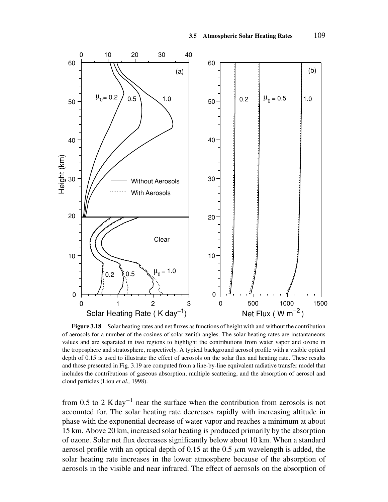

**Figure 3.18** Solar heating rates and net fluxes as functions of height with and without the contribution of aerosols for a number of the cosines of solar zenith angles. The solar heating rates are instantaneous values and are separated in two regions to highlight the contributions from water vapor and ozone in the troposphere and stratosphere, respectively. A typical background aerosol profile with a visible optical depth of 0.15 is used to illustrate the effect of aerosols on the solar flux and heating rate. These results and those presented in Fig. 3.19 are computed from a line-by-line equivalent radiative transfer model that includes the contributions of gaseous absorption, multiple scattering, and the absorption of aerosol and cloud particles (Liou *et al.,* 1998).

from 0.5 to 2 K day<sup>-1</sup> near the surface when the contribution from aerosols is not accounted for. The solar heating rate decreases rapidly with increasing altitude in phase with the exponential decrease of water vapor and reaches a minimum at about 15 km. Above 20 km, increased solar heating is produced primarily by the absorption of ozone. Solar net flux decreases significantly below about 10 km. When a standard aerosol profile with an optical depth of 0.15 at the 0.5  $\mu$ m wavelength is added, the solar heating rate increases in the lower atmosphere because of the absorption of aerosols in the visible and near infrared. The effect of aerosols on the absorption of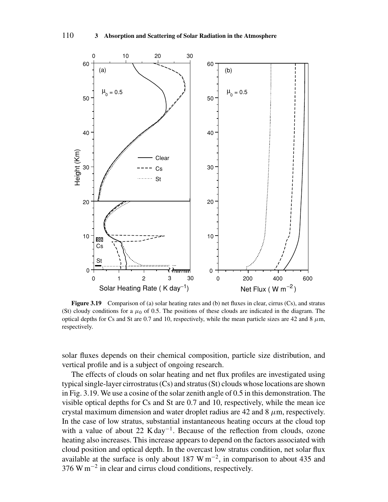

**Figure 3.19** Comparison of (a) solar heating rates and (b) net fluxes in clear, cirrus (Cs), and stratus (St) cloudy conditions for a  $\mu_0$  of 0.5. The positions of these clouds are indicated in the diagram. The optical depths for Cs and St are  $0.7$  and 10, respectively, while the mean particle sizes are  $42$  and  $8 \mu m$ , respectively.

solar fluxes depends on their chemical composition, particle size distribution, and vertical profile and is a subject of ongoing research.

The effects of clouds on solar heating and net flux profiles are investigated using typical single-layer cirrostratus (Cs) and stratus (St) clouds whose locations are shown in Fig. 3.19. We use a cosine of the solar zenith angle of 0.5 in this demonstration. The visible optical depths for Cs and St are 0.7 and 10, respectively, while the mean ice crystal maximum dimension and water droplet radius are 42 and 8  $\mu$ m, respectively. In the case of low stratus, substantial instantaneous heating occurs at the cloud top with a value of about 22 K day<sup>-1</sup>. Because of the reflection from clouds, ozone heating also increases. This increase appears to depend on the factors associated with cloud position and optical depth. In the overcast low stratus condition, net solar flux available at the surface is only about 187 W m<sup>-2</sup>, in comparison to about 435 and 376 W m−<sup>2</sup> in clear and cirrus cloud conditions, respectively.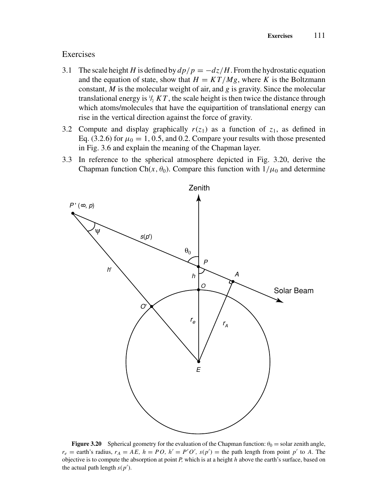# Exercises

- 3.1 The scale height *H* is defined by  $dp/p = -dz/H$ . From the hydrostatic equation and the equation of state, show that  $H = KT/Mg$ , where *K* is the Boltzmann constant, *M* is the molecular weight of air, and *g* is gravity. Since the molecular translational energy is  $\frac{1}{2}$  K T, the scale height is then twice the distance through which atoms/molecules that have the equipartition of translational energy can rise in the vertical direction against the force of gravity.
- 3.2 Compute and display graphically  $r(z_1)$  as a function of  $z_1$ , as defined in Eq. (3.2.6) for  $\mu_0 = 1, 0.5$ , and 0.2. Compare your results with those presented in Fig. 3.6 and explain the meaning of the Chapman layer.
- 3.3 In reference to the spherical atmosphere depicted in Fig. 3.20, derive the Chapman function Ch( $x$ *,*  $\theta$ <sub>0</sub>). Compare this function with  $1/\mu$ <sup>0</sup> and determine



**Figure 3.20** Spherical geometry for the evaluation of the Chapman function:  $\theta_0$  = solar zenith angle,  $r_e$  = earth's radius,  $r_A = AE$ ,  $h = PO$ ,  $h' = P'O'$ ,  $s(p')$  = the path length from point  $p'$  to *A*. The objective is to compute the absorption at point *P,* which is at a height *h* above the earth's surface, based on the actual path length  $s(p')$ .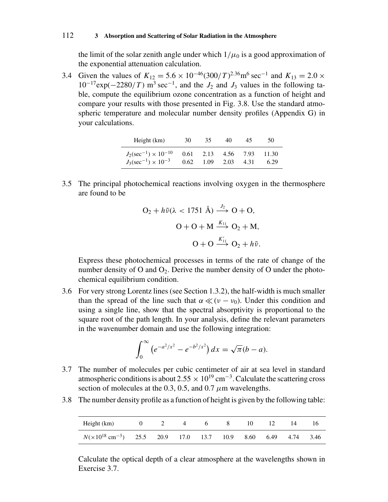the limit of the solar zenith angle under which  $1/\mu_0$  is a good approximation of the exponential attenuation calculation.

3.4 Given the values of  $K_{12} = 5.6 \times 10^{-46} (300/T)^{2.36} \text{m}^6 \text{ sec}^{-1}$  and  $K_{13} = 2.0 \times 10^{-46}$  $10^{-17}$ exp( $-2280/T$ ) m<sup>3</sup> sec<sup>-1</sup>, and the *J*<sub>2</sub> and *J*<sub>3</sub> values in the following table, compute the equilibrium ozone concentration as a function of height and compare your results with those presented in Fig. 3.8. Use the standard atmospheric temperature and molecular number density profiles (Appendix G) in your calculations.

| Height (km)                                                                     | 30 | 35.                  | 40                  | 45.  | 50            |
|---------------------------------------------------------------------------------|----|----------------------|---------------------|------|---------------|
| $J_2(\text{sec}^{-1}) \times 10^{-10}$<br>$J_3(\text{sec}^{-1}) \times 10^{-3}$ |    | $0.62$ $1.09$ $2.03$ | 0.61 2.13 4.56 7.93 | 4.31 | 11.30<br>6.29 |

3.5 The principal photochemical reactions involving oxygen in the thermosphere are found to be

$$
O_2 + h\tilde{\nu}(\lambda < 1751 \text{ Å}) \xrightarrow{J_2} O + O,
$$
\n
$$
O + O + M \xrightarrow{K_{11}} O_2 + M,
$$
\n
$$
O + O \xrightarrow{K'_{11}} O_2 + h\tilde{\nu}.
$$

Express these photochemical processes in terms of the rate of change of the number density of O and  $O_2$ . Derive the number density of O under the photochemical equilibrium condition.

3.6 For very strong Lorentz lines (see Section 1.3.2), the half-width is much smaller than the spread of the line such that  $\alpha \ll (\nu - \nu_0)$ . Under this condition and using a single line, show that the spectral absorptivity is proportional to the square root of the path length. In your analysis, define the relevant parameters in the wavenumber domain and use the following integration:

$$
\int_0^\infty \left( e^{-a^2/x^2} - e^{-b^2/x^2} \right) dx = \sqrt{\pi} (b-a).
$$

- 3.7 The number of molecules per cubic centimeter of air at sea level in standard atmospheric conditions is about 2.55  $\times$  10<sup>19</sup> cm<sup>-3</sup>. Calculate the scattering cross section of molecules at the 0.3, 0.5, and 0.7  $\mu$ m wavelengths.
- 3.8 The number density profile as a function of height is given by the following table:

| Height (km)                                                  |  | $\sigma$ | 8 <sup>7</sup> | 10   |      |      |      |
|--------------------------------------------------------------|--|----------|----------------|------|------|------|------|
| $N(\times 10^{18} \text{ cm}^{-3})$ 25.5 20.9 17.0 13.7 10.9 |  |          |                | 8.60 | 6.49 | 4.74 | 3.46 |

Calculate the optical depth of a clear atmosphere at the wavelengths shown in Exercise 3.7.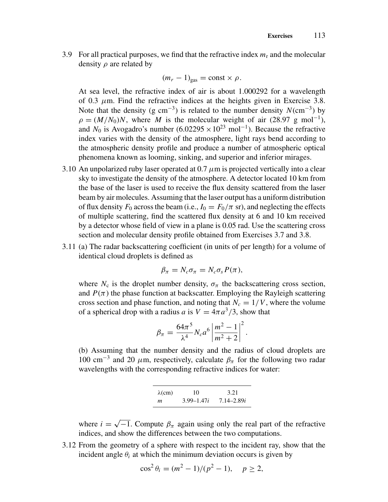3.9 For all practical purposes, we find that the refractive index  $m_r$  and the molecular density  $\rho$  are related by

$$
(m_r-1)_{\text{gas}} = \text{const} \times \rho.
$$

At sea level, the refractive index of air is about 1.000292 for a wavelength of 0.3  $\mu$ m. Find the refractive indices at the heights given in Exercise 3.8. Note that the density (g cm<sup>-3</sup>) is related to the number density  $N$ (cm<sup>-3</sup>) by  $\rho = (M/N_0)N$ , where *M* is the molecular weight of air (28.97 g mol<sup>-1</sup>), and *N*<sub>0</sub> is Avogadro's number  $(6.02295 \times 10^{23} \text{ mol}^{-1})$ . Because the refractive index varies with the density of the atmosphere, light rays bend according to the atmospheric density profile and produce a number of atmospheric optical phenomena known as looming, sinking, and superior and inferior mirages.

- 3.10 An unpolarized ruby laser operated at 0.7 *µ*m is projected vertically into a clear sky to investigate the density of the atmosphere. A detector located 10 km from the base of the laser is used to receive the flux density scattered from the laser beam by air molecules. Assuming that the laser output has a uniform distribution of flux density  $F_0$  across the beam (i.e.,  $I_0 = F_0/\pi$  sr), and neglecting the effects of multiple scattering, find the scattered flux density at 6 and 10 km received by a detector whose field of view in a plane is 0.05 rad. Use the scattering cross section and molecular density profile obtained from Exercises 3.7 and 3.8.
- 3.11 (a) The radar backscattering coefficient (in units of per length) for a volume of identical cloud droplets is defined as

$$
\beta_{\pi} = N_c \sigma_{\pi} = N_c \sigma_s P(\pi),
$$

where  $N_c$  is the droplet number density,  $\sigma_{\pi}$  the backscattering cross section, and  $P(\pi)$  the phase function at backscatter. Employing the Rayleigh scattering cross section and phase function, and noting that  $N_c = 1/V$ , where the volume of a spherical drop with a radius *a* is  $V = 4\pi a^3/3$ , show that

$$
\beta_{\pi} = \frac{64\pi^5}{\lambda^4} N_c a^6 \left| \frac{m^2 - 1}{m^2 + 2} \right|^2
$$

*.*

(b) Assuming that the number density and the radius of cloud droplets are 100 cm<sup>-3</sup> and 20  $\mu$ m, respectively, calculate  $\beta_{\pi}$  for the following two radar wavelengths with the corresponding refractive indices for water:

| $\lambda$ (cm) | 10             | 3.21           |
|----------------|----------------|----------------|
| т              | $3.99 - 1.47i$ | $7.14 - 2.89i$ |

where  $i = \sqrt{-1}$ . Compute  $\beta_{\pi}$  again using only the real part of the refractive indices, and show the differences between the two computations.

3.12 From the geometry of a sphere with respect to the incident ray, show that the incident angle  $\theta_i$  at which the minimum deviation occurs is given by

$$
\cos^2 \theta_i = (m^2 - 1)/(p^2 - 1), \quad p \ge 2,
$$